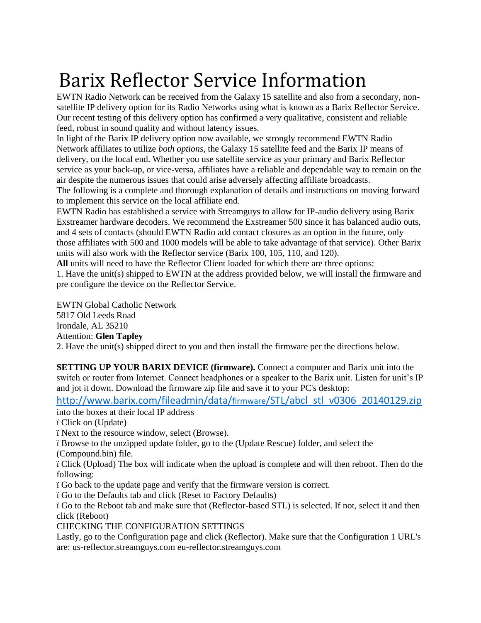## Barix Reflector Service Information

EWTN Radio Network can be received from the Galaxy 15 satellite and also from a secondary, nonsatellite IP delivery option for its Radio Networks using what is known as a Barix Reflector Service. Our recent testing of this delivery option has confirmed a very qualitative, consistent and reliable feed, robust in sound quality and without latency issues.

In light of the Barix IP delivery option now available, we strongly recommend EWTN Radio Network affiliates to utilize *both options*, the Galaxy 15 satellite feed and the Barix IP means of delivery, on the local end. Whether you use satellite service as your primary and Barix Reflector service as your back-up, or vice-versa, affiliates have a reliable and dependable way to remain on the air despite the numerous issues that could arise adversely affecting affiliate broadcasts.

The following is a complete and thorough explanation of details and instructions on moving forward to implement this service on the local affiliate end.

EWTN Radio has established a service with Streamguys to allow for IP-audio delivery using Barix Exstreamer hardware decoders. We recommend the Exstreamer 500 since it has balanced audio outs, and 4 sets of contacts (should EWTN Radio add contact closures as an option in the future, only those affiliates with 500 and 1000 models will be able to take advantage of that service). Other Barix units will also work with the Reflector service (Barix 100, 105, 110, and 120).

**All** units will need to have the Reflector Client loaded for which there are three options:

1. Have the unit(s) shipped to EWTN at the address provided below, we will install the firmware and pre configure the device on the Reflector Service.

EWTN Global Catholic Network

5817 Old Leeds Road Irondale, AL 35210

Attention: **Glen Tapley** 

2. Have the unit(s) shipped direct to you and then install the firmware per the directions below.

**SETTING UP YOUR BARIX DEVICE (firmware).** Connect a computer and Barix unit into the switch or router from Internet. Connect headphones or a speaker to the Barix unit. Listen for unit's IP and jot it down. Download the firmware zip file and save it to your PC's desktop:

[http://www.barix.com/fileadmin/data/](http://www.barix.com/fileadmin/data/firmware/STL/abcl_stl_v0306_20140129.zip)firmware/STL/abcl\_stl\_v0306\_20140129.zip into the boxes at their local IP address

ï Click on (Update)

ï Next to the resource window, select (Browse).

ï Browse to the unzipped update folder, go to the (Update Rescue) folder, and select the

(Compound.bin) file.

ï Click (Upload) The box will indicate when the upload is complete and will then reboot. Then do the following:

ï Go back to the update page and verify that the firmware version is correct.

ï Go to the Defaults tab and click (Reset to Factory Defaults)

ï Go to the Reboot tab and make sure that (Reflector-based STL) is selected. If not, select it and then click (Reboot)

CHECKING THE CONFIGURATION SETTINGS

Lastly, go to the Configuration page and click (Reflector). Make sure that the Configuration 1 URL's are: us-reflector.streamguys.com eu-reflector.streamguys.com